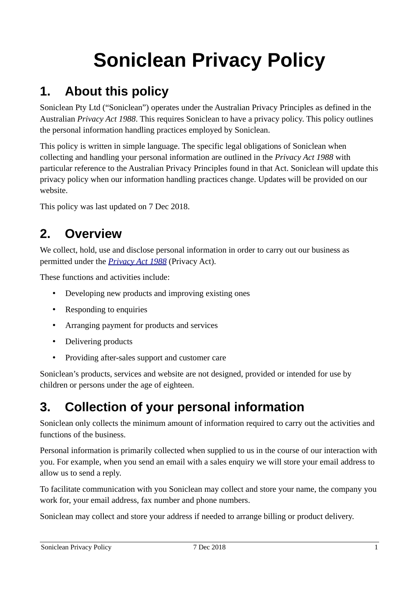# **Soniclean Privacy Policy**

# **1. About this policy**

Soniclean Pty Ltd ("Soniclean") operates under the Australian Privacy Principles as defined in the Australian *Privacy Act 1988*. This requires Soniclean to have a privacy policy. This policy outlines the personal information handling practices employed by Soniclean.

This policy is written in simple language. The specific legal obligations of Soniclean when collecting and handling your personal information are outlined in the *Privacy Act 1988* with particular reference to the Australian Privacy Principles found in that Act. Soniclean will update this privacy policy when our information handling practices change. Updates will be provided on our website.

This policy was last updated on 7 Dec 2018.

## **2. Overview**

We collect, hold, use and disclose personal information in order to carry out our business as permitted under the *[Privacy Act 1988](https://www.legislation.gov.au/Details/C2013C00482)* (Privacy Act).

These functions and activities include:

- Developing new products and improving existing ones
- Responding to enquiries
- Arranging payment for products and services
- Delivering products
- Providing after-sales support and customer care

Soniclean's products, services and website are not designed, provided or intended for use by children or persons under the age of eighteen.

## **3. Collection of your personal information**

Soniclean only collects the minimum amount of information required to carry out the activities and functions of the business.

Personal information is primarily collected when supplied to us in the course of our interaction with you. For example, when you send an email with a sales enquiry we will store your email address to allow us to send a reply.

To facilitate communication with you Soniclean may collect and store your name, the company you work for, your email address, fax number and phone numbers.

Soniclean may collect and store your address if needed to arrange billing or product delivery.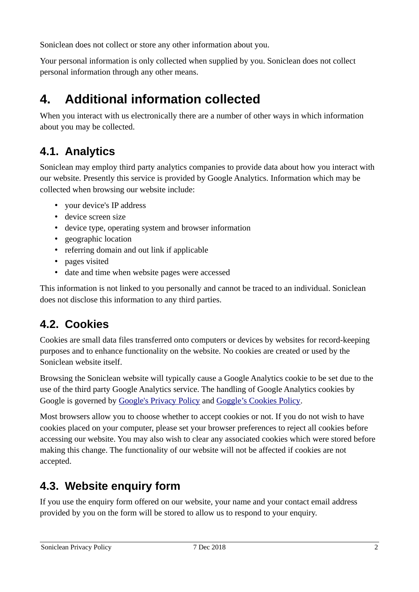Soniclean does not collect or store any other information about you.

Your personal information is only collected when supplied by you. Soniclean does not collect personal information through any other means.

# **4. Additional information collected**

When you interact with us electronically there are a number of other ways in which information about you may be collected.

## **4.1. Analytics**

Soniclean may employ third party analytics companies to provide data about how you interact with our website. Presently this service is provided by Google Analytics. Information which may be collected when browsing our website include:

- your device's IP address
- device screen size
- device type, operating system and browser information
- geographic location
- referring domain and out link if applicable
- pages visited
- date and time when website pages were accessed

This information is not linked to you personally and cannot be traced to an individual. Soniclean does not disclose this information to any third parties.

### **4.2. Cookies**

Cookies are small data files transferred onto computers or devices by websites for record-keeping purposes and to enhance functionality on the website. No cookies are created or used by the Soniclean website itself.

Browsing the Soniclean website will typically cause a Google Analytics cookie to be set due to the use of the third party Google Analytics service. The handling of Google Analytics cookies by Google is governed by [Google's Privacy Policy](https://www.google.com/intl/en/policies/privacy/) and [Goggle's Cookies Policy](https://policies.google.com/technologies/cookies?hl=en).

Most browsers allow you to choose whether to accept cookies or not. If you do not wish to have cookies placed on your computer, please set your browser preferences to reject all cookies before accessing our website. You may also wish to clear any associated cookies which were stored before making this change. The functionality of our website will not be affected if cookies are not accepted.

#### **4.3. Website enquiry form**

If you use the enquiry form offered on our website, your name and your contact email address provided by you on the form will be stored to allow us to respond to your enquiry.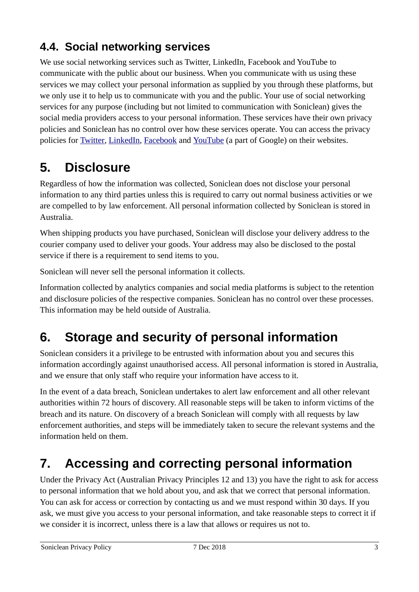## **4.4. Social networking services**

We use social networking services such as Twitter, LinkedIn, Facebook and YouTube to communicate with the public about our business. When you communicate with us using these services we may collect your personal information as supplied by you through these platforms, but we only use it to help us to communicate with you and the public. Your use of social networking services for any purpose (including but not limited to communication with Soniclean) gives the social media providers access to your personal information. These services have their own privacy policies and Soniclean has no control over how these services operate. You can access the privacy policies for [Twitter,](https://twitter.com/privacy?lang=en) [LinkedIn,](https://www.linkedin.com/legal/privacy-policy) [Facebook](https://www.facebook.com/legal/FB_Work_Privacy) and [YouTube](https://www.google.com/intl/en/policies/privacy/) (a part of Google) on their websites.

# **5. Disclosure**

Regardless of how the information was collected, Soniclean does not disclose your personal information to any third parties unless this is required to carry out normal business activities or we are compelled to by law enforcement. All personal information collected by Soniclean is stored in Australia.

When shipping products you have purchased, Soniclean will disclose your delivery address to the courier company used to deliver your goods. Your address may also be disclosed to the postal service if there is a requirement to send items to you.

Soniclean will never sell the personal information it collects.

Information collected by analytics companies and social media platforms is subject to the retention and disclosure policies of the respective companies. Soniclean has no control over these processes. This information may be held outside of Australia.

## **6. Storage and security of personal information**

Soniclean considers it a privilege to be entrusted with information about you and secures this information accordingly against unauthorised access. All personal information is stored in Australia, and we ensure that only staff who require your information have access to it.

In the event of a data breach, Soniclean undertakes to alert law enforcement and all other relevant authorities within 72 hours of discovery. All reasonable steps will be taken to inform victims of the breach and its nature. On discovery of a breach Soniclean will comply with all requests by law enforcement authorities, and steps will be immediately taken to secure the relevant systems and the information held on them.

# **7. Accessing and correcting personal information**

Under the Privacy Act (Australian Privacy Principles 12 and 13) you have the right to ask for access to personal information that we hold about you, and ask that we correct that personal information. You can ask for access or correction by contacting us and we must respond within 30 days. If you ask, we must give you access to your personal information, and take reasonable steps to correct it if we consider it is incorrect, unless there is a law that allows or requires us not to.